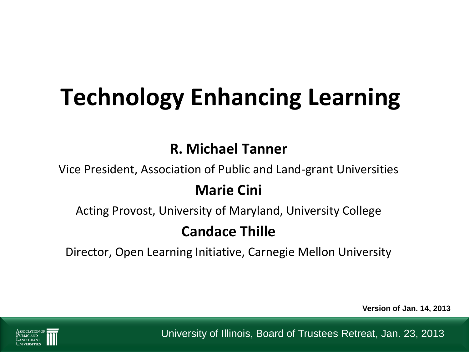# **Technology Enhancing Learning**

#### **R. Michael Tanner**

Vice President, Association of Public and Land-grant Universities

#### **Marie Cini**

Acting Provost, University of Maryland, University College

#### **Candace Thille**

Director, Open Learning Initiative, Carnegie Mellon University

**Version of Jan. 14, 2013**



University of Illinois, Board of Trustees Retreat, Jan. 23, 2013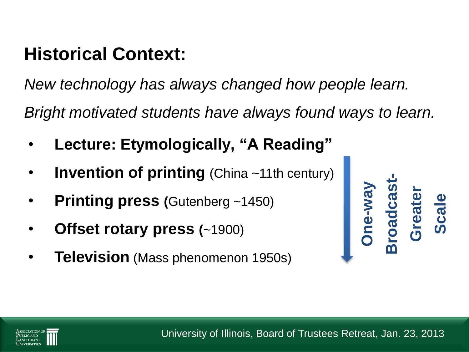# **Historical Context:**

*New technology has always changed how people learn.*

*Bright motivated students have always found ways to learn.*

- **Lecture: Etymologically, "A Reading"**
- **Invention of printing** (China ~11th century)
- **Printing press (**Gutenberg ~1450)
- **Offset rotary press (**~1900)
- **Television** (Mass phenomenon 1950s)



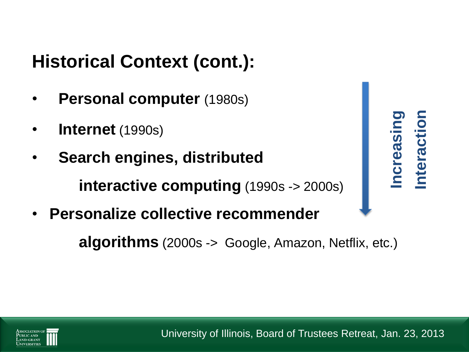# **Historical Context (cont.):**

- **Personal computer** (1980s)
- **Internet** (1990s)
- **Search engines, distributed interactive computing** (1990s -> 2000s) **arch engines, distributed<br>
arch engines, distributed<br>
interactive computing (1990s -> 2000s)<br>
sonalize collective recommender<br>
algorithms (2000s -> Google, Amazon, Netflix, etc.)**
- **Personalize collective recommender**



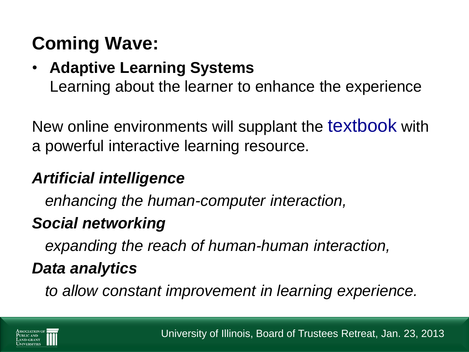# **Coming Wave:**

#### • **Adaptive Learning Systems** Learning about the learner to enhance the experience

New online environments will supplant the textbook with a powerful interactive learning resource.

## *Artificial intelligence*

 *enhancing the human-computer interaction,* 

## *Social networking*

 *expanding the reach of human-human interaction,*

## *Data analytics*

 *to allow constant improvement in learning experience.*

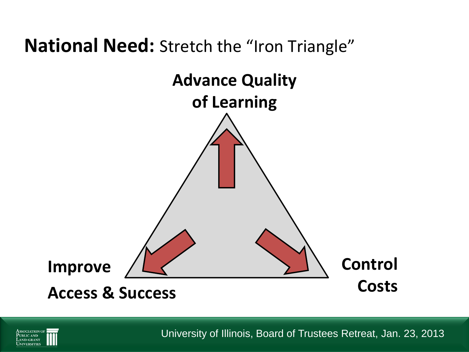## **National Need:** Stretch the "Iron Triangle"





University of Illinois, Board of Trustees Retreat, Jan. 23, 2013